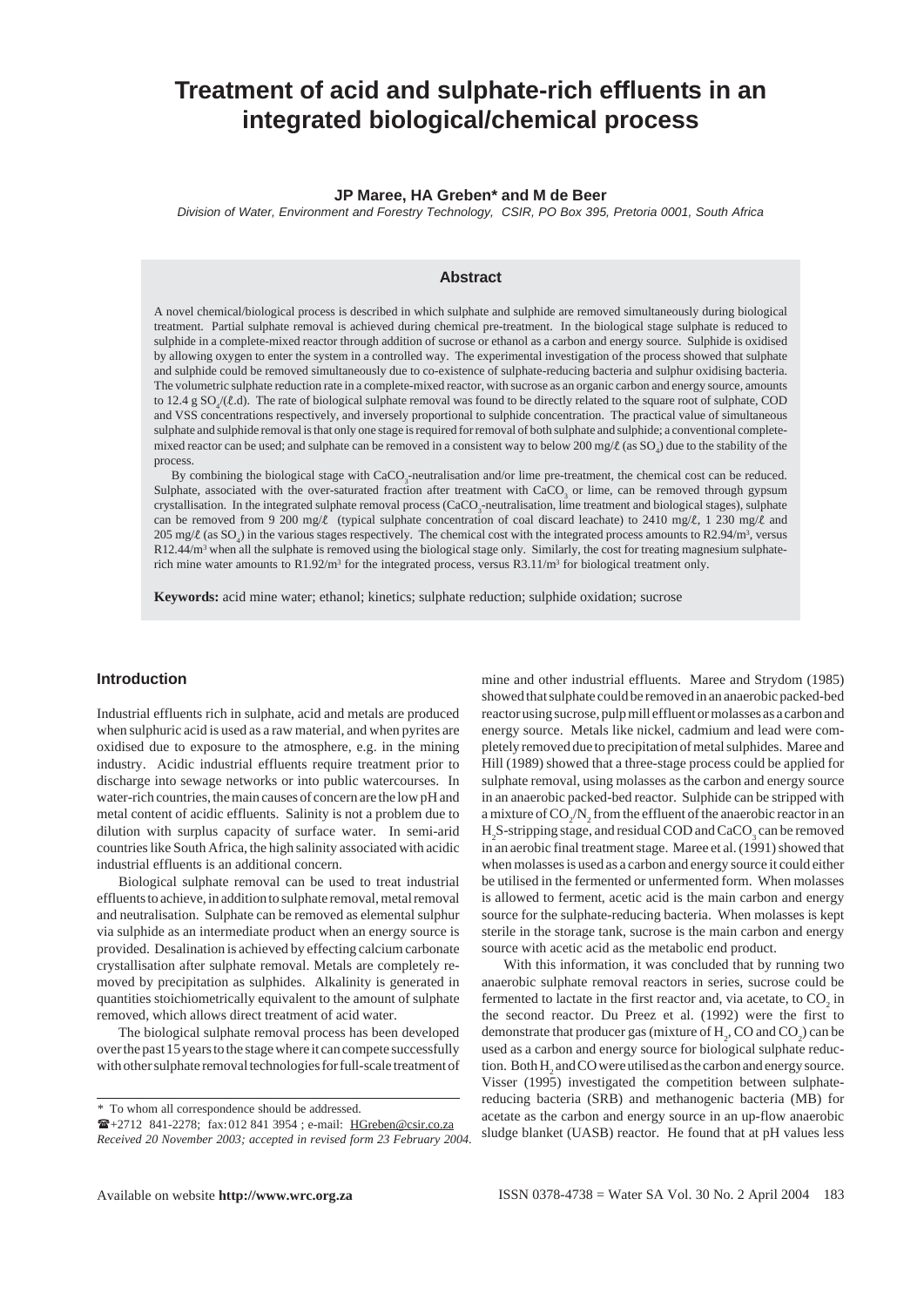# **Treatment of acid and sulphate-rich effluents in an integrated biological/chemical process**

### **JP Maree, HA Greben\* and M de Beer**

*Division of Water, Environment and Forestry Technology, CSIR, PO Box 395, Pretoria 0001, South Africa*

### **Abstract**

A novel chemical/biological process is described in which sulphate and sulphide are removed simultaneously during biological treatment. Partial sulphate removal is achieved during chemical pre-treatment. In the biological stage sulphate is reduced to sulphide in a complete-mixed reactor through addition of sucrose or ethanol as a carbon and energy source. Sulphide is oxidised by allowing oxygen to enter the system in a controlled way. The experimental investigation of the process showed that sulphate and sulphide could be removed simultaneously due to co-existence of sulphate-reducing bacteria and sulphur oxidising bacteria. The volumetric sulphate reduction rate in a complete-mixed reactor, with sucrose as an organic carbon and energy source, amounts to 12.4 g  $SO_4/(l.d)$ . The rate of biological sulphate removal was found to be directly related to the square root of sulphate, COD and VSS concentrations respectively, and inversely proportional to sulphide concentration. The practical value of simultaneous sulphate and sulphide removal is that only one stage is required for removal of both sulphate and sulphide; a conventional completemixed reactor can be used; and sulphate can be removed in a consistent way to below 200 mg/ $\ell$  (as SO<sub>4</sub>) due to the stability of the process.

By combining the biological stage with CaCO<sub>3</sub>-neutralisation and/or lime pre-treatment, the chemical cost can be reduced. Sulphate, associated with the over-saturated fraction after treatment with  $CaCO<sub>3</sub>$  or lime, can be removed through gypsum crystallisation. In the integrated sulphate removal process (CaCO<sub>3</sub>-neutralisation, lime treatment and biological stages), sulphate can be removed from 9 200 mg/l (typical sulphate concentration of coal discard leachate) to 2410 mg/l, 1 230 mg/l and 205 mg/ $\ell$  (as SO<sub>4</sub>) in the various stages respectively. The chemical cost with the integrated process amounts to R2.94/m<sup>3</sup>, versus R12.44/m<sup>3</sup> when all the sulphate is removed using the biological stage only. Similarly, the cost for treating magnesium sulphaterich mine water amounts to  $R1.92/m<sup>3</sup>$  for the integrated process, versus R3.11/m<sup>3</sup> for biological treatment only.

**Keywords:** acid mine water; ethanol; kinetics; sulphate reduction; sulphide oxidation; sucrose

### **Introduction**

Industrial effluents rich in sulphate, acid and metals are produced when sulphuric acid is used as a raw material, and when pyrites are oxidised due to exposure to the atmosphere, e.g. in the mining industry. Acidic industrial effluents require treatment prior to discharge into sewage networks or into public watercourses. In water-rich countries, the main causes of concern are the low pH and metal content of acidic effluents. Salinity is not a problem due to dilution with surplus capacity of surface water. In semi-arid countries like South Africa, the high salinity associated with acidic industrial effluents is an additional concern.

Biological sulphate removal can be used to treat industrial effluents to achieve, in addition to sulphate removal, metal removal and neutralisation. Sulphate can be removed as elemental sulphur via sulphide as an intermediate product when an energy source is provided. Desalination is achieved by effecting calcium carbonate crystallisation after sulphate removal. Metals are completely removed by precipitation as sulphides. Alkalinity is generated in quantities stoichiometrically equivalent to the amount of sulphate removed, which allows direct treatment of acid water.

The biological sulphate removal process has been developed over the past 15 years to the stage where it can compete successfully with other sulphate removal technologies for full-scale treatment of mine and other industrial effluents. Maree and Strydom (1985) showed that sulphate could be removed in an anaerobic packed-bed reactor using sucrose, pulp mill effluent or molasses as a carbon and energy source. Metals like nickel, cadmium and lead were completely removed due to precipitation of metal sulphides. Maree and Hill (1989) showed that a three-stage process could be applied for sulphate removal, using molasses as the carbon and energy source in an anaerobic packed-bed reactor. Sulphide can be stripped with a mixture of  $CO_2/N_2$  from the effluent of the anaerobic reactor in an  $\rm H_2$ S-stripping stage, and residual COD and CaCO<sub>3</sub> can be removed in an aerobic final treatment stage. Maree et al. (1991) showed that when molasses is used as a carbon and energy source it could either be utilised in the fermented or unfermented form. When molasses is allowed to ferment, acetic acid is the main carbon and energy source for the sulphate-reducing bacteria. When molasses is kept sterile in the storage tank, sucrose is the main carbon and energy source with acetic acid as the metabolic end product.

With this information, it was concluded that by running two anaerobic sulphate removal reactors in series, sucrose could be fermented to lactate in the first reactor and, via acetate, to  $CO_2$  in the second reactor. Du Preez et al. (1992) were the first to demonstrate that producer gas (mixture of  $H_2$ , CO and CO<sub>2</sub>) can be used as a carbon and energy source for biological sulphate reduction. Both  $H_2$  and CO were utilised as the carbon and energy source. Visser (1995) investigated the competition between sulphatereducing bacteria (SRB) and methanogenic bacteria (MB) for acetate as the carbon and energy source in an up-flow anaerobic sludge blanket (UASB) reactor. He found that at pH values less

*<sup>\*</sup>* To whom all correspondence should be addressed.

<sup>+2712 841-2278;</sup> fax:012 841 3954 ; e-mail: HGreben@csir.co.za *Received 20 November 2003; accepted in revised form 23 February 2004*.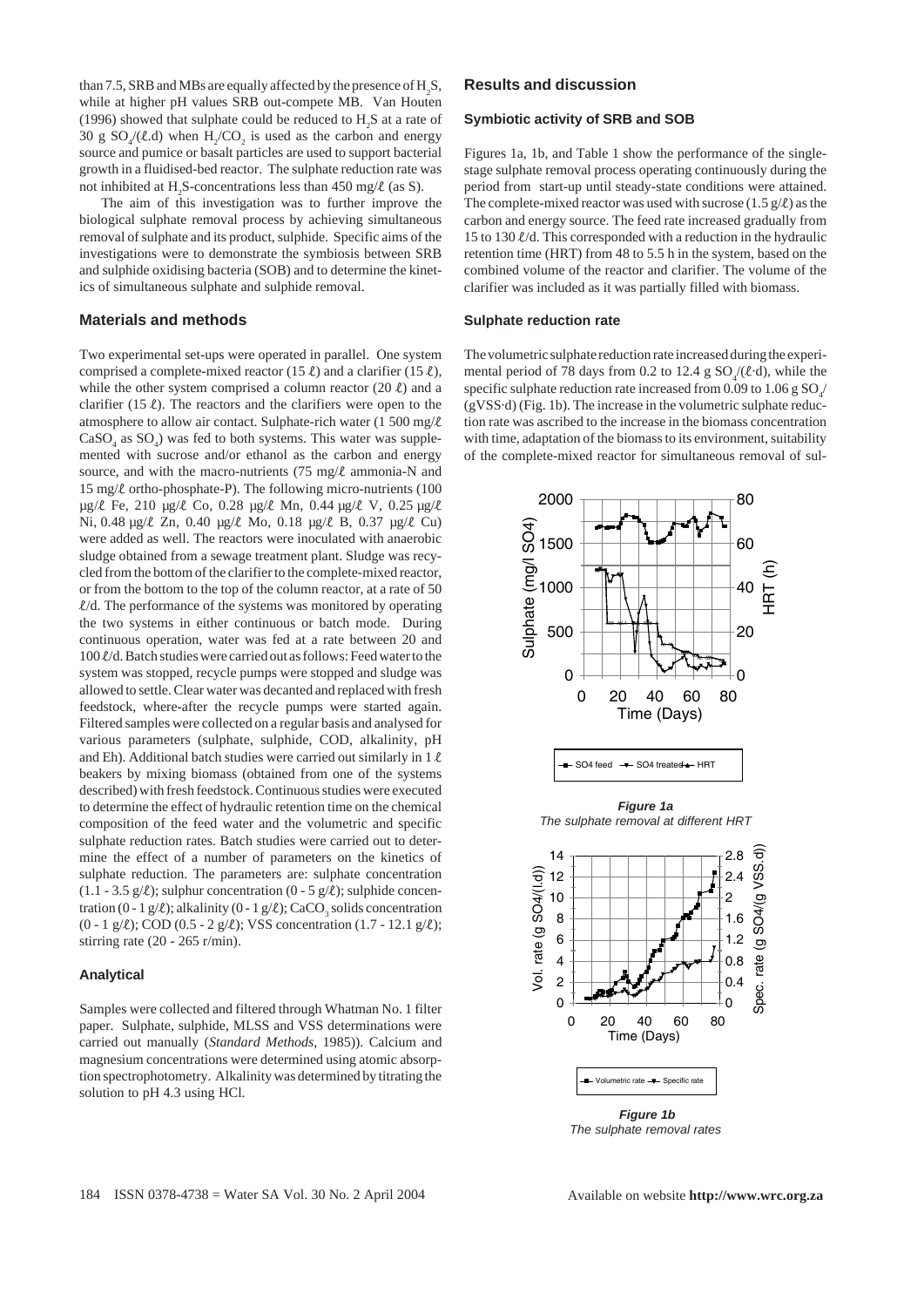than 7.5, SRB and MBs are equally affected by the presence of  $\rm H_2S$ , while at higher pH values SRB out-compete MB. Van Houten (1996) showed that sulphate could be reduced to  $H_2S$  at a rate of 30 g  $SO_4$ /( $\ell$ .d) when  $H_2$ / $CO_2$  is used as the carbon and energy source and pumice or basalt particles are used to support bacterial growth in a fluidised-bed reactor. The sulphate reduction rate was not inhibited at H<sub>2</sub>S-concentrations less than 450 mg/ $\ell$  (as S).

The aim of this investigation was to further improve the biological sulphate removal process by achieving simultaneous removal of sulphate and its product, sulphide. Specific aims of the investigations were to demonstrate the symbiosis between SRB and sulphide oxidising bacteria (SOB) and to determine the kinetics of simultaneous sulphate and sulphide removal.

### **Materials and methods**

Two experimental set-ups were operated in parallel. One system comprised a complete-mixed reactor (15  $\ell$ ) and a clarifier (15  $\ell$ ), while the other system comprised a column reactor  $(20 \ell)$  and a clarifier (15  $\ell$ ). The reactors and the clarifiers were open to the atmosphere to allow air contact. Sulphate-rich water (1 500 mg/ $\ell$ )  $CaSO<sub>4</sub>$  as  $SO<sub>4</sub>$ ) was fed to both systems. This water was supplemented with sucrose and/or ethanol as the carbon and energy source, and with the macro-nutrients (75 mg/ $\ell$  ammonia-N and 15 mg/l ortho-phosphate-P). The following micro-nutrients (100 µg/l Fe, 210 µg/l Co, 0.28 µg/l Mn, 0.44 µg/l V, 0.25 µg/l Ni, 0.48 µg/l Zn, 0.40 µg/l Mo, 0.18 µg/l B, 0.37 µg/l Cu) were added as well. The reactors were inoculated with anaerobic sludge obtained from a sewage treatment plant. Sludge was recycled from the bottom of the clarifier to the complete-mixed reactor, or from the bottom to the top of the column reactor, at a rate of 50  $\ell/d$ . The performance of the systems was monitored by operating the two systems in either continuous or batch mode. During continuous operation, water was fed at a rate between 20 and 100  $\ell$ /d. Batch studies were carried out as follows: Feed water to the system was stopped, recycle pumps were stopped and sludge was allowed to settle. Clear water was decanted and replaced with fresh feedstock, where-after the recycle pumps were started again. Filtered samples were collected on a regular basis and analysed for various parameters (sulphate, sulphide, COD, alkalinity, pH and Eh). Additional batch studies were carried out similarly in  $1 \ell$ beakers by mixing biomass (obtained from one of the systems described) with fresh feedstock. Continuous studies were executed to determine the effect of hydraulic retention time on the chemical composition of the feed water and the volumetric and specific sulphate reduction rates. Batch studies were carried out to determine the effect of a number of parameters on the kinetics of sulphate reduction. The parameters are: sulphate concentration (1.1 - 3.5 g/ $\ell$ ); sulphur concentration (0 - 5 g/ $\ell$ ); sulphide concentration (0 - 1 g/ $\ell$ ); alkalinity (0 - 1 g/ $\ell$ ); CaCO<sub>3</sub> solids concentration (0 - 1 g/l); COD (0.5 - 2 g/l); VSS concentration (1.7 - 12.1 g/l); stirring rate (20 - 265 r/min).

### **Analytical**

Samples were collected and filtered through Whatman No. 1 filter paper. Sulphate, sulphide, MLSS and VSS determinations were carried out manually (*Standard Methods*, 1985)). Calcium and magnesium concentrations were determined using atomic absorption spectrophotometry. Alkalinity was determined by titrating the solution to pH 4.3 using HCl.

### **Results and discussion**

### **Symbiotic activity of SRB and SOB**

Figures 1a, 1b, and Table 1 show the performance of the singlestage sulphate removal process operating continuously during the period from start-up until steady-state conditions were attained. The complete-mixed reactor was used with sucrose  $(1.5 \text{ g}/\ell)$  as the carbon and energy source. The feed rate increased gradually from 15 to 130  $\ell$ /d. This corresponded with a reduction in the hydraulic retention time (HRT) from 48 to 5.5 h in the system, based on the combined volume of the reactor and clarifier. The volume of the clarifier was included as it was partially filled with biomass.

#### **Sulphate reduction rate**

The volumetric sulphate reduction rate increased during the experimental period of 78 days from 0.2 to 12.4 g  $SO_4(\ell \cdot d)$ , while the specific sulphate reduction rate increased from 0.09 to 1.06 g  $\mathrm{SO}_4\!\ell$ (gVSS·d) (Fig. 1b). The increase in the volumetric sulphate reduction rate was ascribed to the increase in the biomass concentration with time, adaptation of the biomass to its environment, suitability of the complete-mixed reactor for simultaneous removal of sul-



*The sulphate removal rates*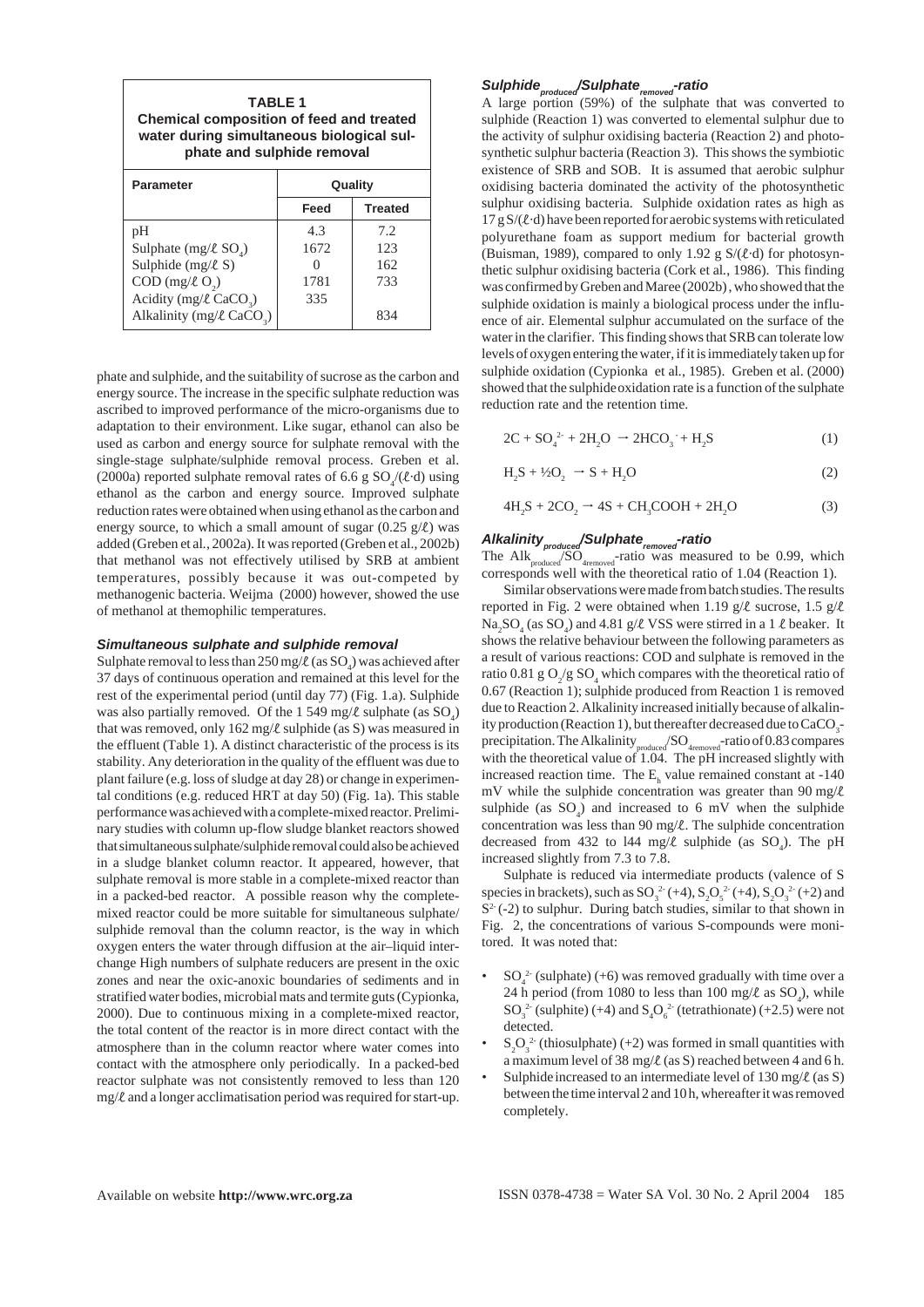| <b>TABLE 1</b><br><b>Chemical composition of feed and treated</b><br>water during simultaneous biological sul-<br>phate and sulphide removal |         |                |  |  |  |
|----------------------------------------------------------------------------------------------------------------------------------------------|---------|----------------|--|--|--|
| <b>Parameter</b>                                                                                                                             | Quality |                |  |  |  |
|                                                                                                                                              | Feed    | <b>Treated</b> |  |  |  |
| pH                                                                                                                                           | 4.3     | 7.2            |  |  |  |
| Sulphate $(mg/\ell SO)$                                                                                                                      | 1672    | 123            |  |  |  |
| Sulphide $(mg/\ell S)$                                                                                                                       |         | 162            |  |  |  |
| $COD$ (mg/ $\ell$ O <sub>2</sub> )                                                                                                           | 1781    | 733            |  |  |  |
| Acidity (mg/ $\ell$ CaCO <sub>3</sub> )                                                                                                      | 335     |                |  |  |  |
| Alkalinity (mg/ $\ell$ CaCO <sub>2</sub> )                                                                                                   |         | 834            |  |  |  |

phate and sulphide, and the suitability of sucrose as the carbon and energy source. The increase in the specific sulphate reduction was ascribed to improved performance of the micro-organisms due to adaptation to their environment. Like sugar, ethanol can also be used as carbon and energy source for sulphate removal with the single-stage sulphate/sulphide removal process. Greben et al. (2000a) reported sulphate removal rates of 6.6 g  $SO_4/(\ell \cdot d)$  using ethanol as the carbon and energy source. Improved sulphate reduction rates were obtained when using ethanol as the carbon and energy source, to which a small amount of sugar  $(0.25 \text{ g}/\ell)$  was added (Greben et al*.*, 2002a). It was reported (Greben et al., 2002b) that methanol was not effectively utilised by SRB at ambient temperatures, possibly because it was out-competed by methanogenic bacteria. Weijma (2000) however, showed the use of methanol at themophilic temperatures.

### *Simultaneous sulphate and sulphide removal*

Sulphate removal to less than  $250 \,\text{mg}/\ell$  (as  $\text{SO}_4$ ) was achieved after 37 days of continuous operation and remained at this level for the rest of the experimental period (until day 77) (Fig. 1.a). Sulphide was also partially removed. Of the 1 549 mg/ $\ell$  sulphate (as  $\text{SO}_4$ ) that was removed, only  $162 \text{ mg}/\ell$  sulphide (as S) was measured in the effluent (Table 1). A distinct characteristic of the process is its stability. Any deterioration in the quality of the effluent was due to plant failure (e.g. loss of sludge at day 28) or change in experimental conditions (e.g. reduced HRT at day 50) (Fig. 1a). This stable performance was achieved with a complete-mixed reactor. Preliminary studies with column up-flow sludge blanket reactors showed that simultaneous sulphate/sulphide removal could also be achieved in a sludge blanket column reactor. It appeared, however, that sulphate removal is more stable in a complete-mixed reactor than in a packed-bed reactor. A possible reason why the completemixed reactor could be more suitable for simultaneous sulphate/ sulphide removal than the column reactor, is the way in which oxygen enters the water through diffusion at the air–liquid interchange High numbers of sulphate reducers are present in the oxic zones and near the oxic-anoxic boundaries of sediments and in stratified water bodies, microbial mats and termite guts (Cypionka, 2000). Due to continuous mixing in a complete-mixed reactor, the total content of the reactor is in more direct contact with the atmosphere than in the column reactor where water comes into contact with the atmosphere only periodically. In a packed-bed reactor sulphate was not consistently removed to less than 120  $mg/\ell$  and a longer acclimatisation period was required for start-up.

### $Sulphide_{\tiny produced}$ /Sulphate<sub>removed</sub>-ratio

A large portion (59%) of the sulphate that was converted to sulphide (Reaction 1) was converted to elemental sulphur due to the activity of sulphur oxidising bacteria (Reaction 2) and photosynthetic sulphur bacteria (Reaction 3). This shows the symbiotic existence of SRB and SOB. It is assumed that aerobic sulphur oxidising bacteria dominated the activity of the photosynthetic sulphur oxidising bacteria. Sulphide oxidation rates as high as 17 g  $S/(2 \cdot d)$  have been reported for aerobic systems with reticulated polyurethane foam as support medium for bacterial growth (Buisman, 1989), compared to only 1.92 g  $S/(l \cdot d)$  for photosynthetic sulphur oxidising bacteria (Cork et al*.*, 1986). This finding was confirmed by Greben and Maree (2002b) , who showed that the sulphide oxidation is mainly a biological process under the influence of air. Elemental sulphur accumulated on the surface of the water in the clarifier. This finding shows that SRB can tolerate low levels of oxygen entering the water, if it is immediately taken up for sulphide oxidation (Cypionka et al*.*, 1985). Greben et al. (2000) showed that the sulphideoxidation rate is a function of the sulphate reduction rate and the retention time.

$$
2C + SO_4^{2} + 2H_2O \rightarrow 2HCO_3 + H_2S
$$
 (1)

$$
H_2S + \frac{1}{2}O_2 \rightarrow S + H_2O \tag{2}
$$

$$
4H_2S + 2CO_2 \rightarrow 4S + CH_3COOH + 2H_2O \tag{3}
$$

## Alkalinity<sub>produced</sub>/Sulphate<sub>removed</sub>-ratio

The  $\text{Alk}_{\text{produced}}$ /SO<sub>4removed</sub>-ratio was measured to be 0.99, which corresponds well with the theoretical ratio of 1.04 (Reaction 1).

Similar observations were made from batch studies. The results reported in Fig. 2 were obtained when 1.19 g/ $\ell$  sucrose, 1.5 g/ $\ell$  $\text{Na}_2\text{SO}_4$  (as  $\text{SO}_4$ ) and 4.81 g/ $\ell$  VSS were stirred in a 1  $\ell$  beaker. It shows the relative behaviour between the following parameters as a result of various reactions: COD and sulphate is removed in the ratio 0.81 g  $O_2/g$  SO<sub>4</sub> which compares with the theoretical ratio of 0.67 (Reaction 1); sulphide produced from Reaction 1 is removed due to Reaction 2. Alkalinity increased initially because of alkalinity production (Reaction 1), but thereafter decreased due to  $\rm CaCO_{3}^$ precipitation. The Alkalinity  $_{\text{produced}}$ SO<sub>4removed</sub>-ratio of 0.83 compares with the theoretical value of 1.04. The pH increased slightly with increased reaction time. The  $E<sub>h</sub>$  value remained constant at -140 mV while the sulphide concentration was greater than 90 mg/ $\ell$ sulphide (as  $SO_4$ ) and increased to 6 mV when the sulphide concentration was less than 90 mg/ $\ell$ . The sulphide concentration decreased from 432 to 144 mg/ $\ell$  sulphide (as SO<sub>4</sub>). The pH increased slightly from 7.3 to 7.8.

Sulphate is reduced via intermediate products (valence of S species in brackets), such as  $SO_3^{2-}(+4)$ ,  $S_2O_5^{2-}(+4)$ ,  $S_2O_3^{2-}(+2)$  and  $S<sup>2</sup>(-2)$  to sulphur. During batch studies, similar to that shown in Fig. 2, the concentrations of various S-compounds were monitored. It was noted that:

- $SO_4^2$  (sulphate) (+6) was removed gradually with time over a 24 h period (from 1080 to less than 100 mg/ $\ell$  as  $SO_4$ ), while  $SO_3^2$  (sulphite) (+4) and  $S_4O_6^2$  (tetrathionate) (+2.5) were not detected.
- $S_2O_3^2$  (thiosulphate) (+2) was formed in small quantities with a maximum level of 38 mg/ $\ell$  (as S) reached between 4 and 6 h.
- Sulphide increased to an intermediate level of  $130 \text{ mg}/\ell$  (as S) between the time interval 2 and 10 h, whereafter it was removed completely.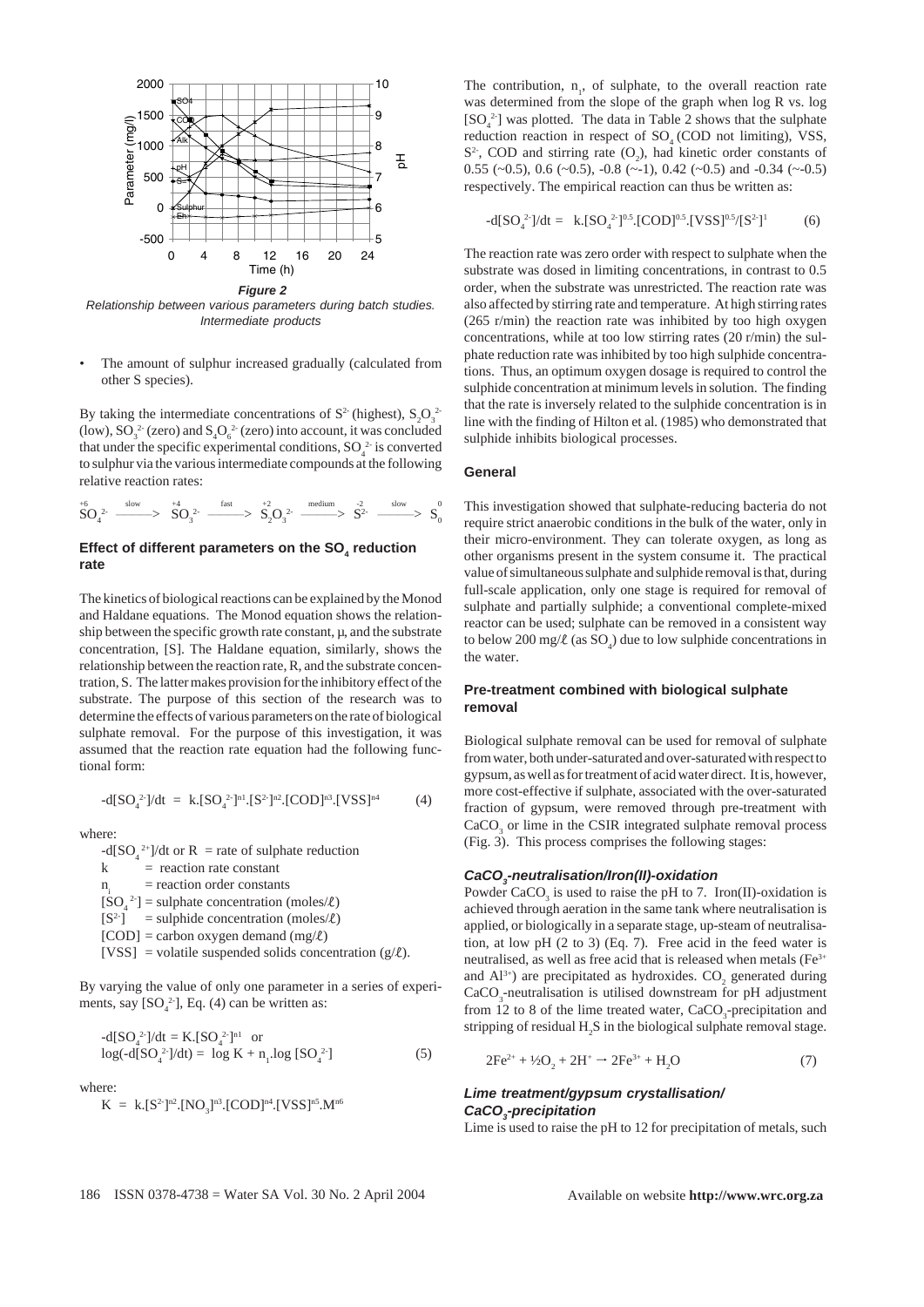

*Relationship between various parameters during batch studies. Intermediate products*

The amount of sulphur increased gradually (calculated from other S species).

By taking the intermediate concentrations of  $S^2$  (highest),  $S_2O_3^2$ (low),  $\mathrm{SO}_3^{\ 2\text{-}}$  (zero) and  $\mathrm{S}_4\mathrm{O}_6^{\ 2\text{-}}$  (zero) into account, it was concluded that under the specific experimental conditions,  $SO_4^2$  is converted to sulphur via the various intermediate compounds at the following relative reaction rates:

$$
SO_4^2 \xrightarrow{\text{slow}} SO_3^2 \xrightarrow{\text{fast}} SO_3^{2} \xrightarrow{\text{fast}} SO_2^2 \xrightarrow{\text{medium}} S^2 \xrightarrow{\text{slow}} S^0_0
$$

### Effect of different parameters on the SO<sub>4</sub> reduction **rate**

The kinetics of biological reactions can be explained by the Monod and Haldane equations. The Monod equation shows the relationship between the specific growth rate constant,  $\mu$ , and the substrate concentration, [S]. The Haldane equation, similarly, shows the relationship between the reaction rate, R, and the substrate concentration, S. The latter makes provision for the inhibitory effect of the substrate. The purpose of this section of the research was to determine the effects of various parameters on the rate of biological sulphate removal. For the purpose of this investigation, it was assumed that the reaction rate equation had the following functional form:

$$
-d[SO_4^{2}] / dt = k.[SO_4^{2}]^{n1}.[S^2]^{n2}.[COD]^{n3}.[VSS]^{n4}
$$
 (4)

where:

 $-d[SO_4^{2+}]/dt$  or R = rate of sulphate reduction

 $k =$  reaction rate constant

 $n_i$  = reaction order constants

 $[SO_4^2]$  = sulphate concentration (moles/ $\ell$ )

 $[S^2]$  = sulphide concentration (moles/ $\ell$ )

 $[COD]$  = carbon oxygen demand  $(mg/\ell)$ 

[VSS] = volatile suspended solids concentration ( $g/L$ ).

By varying the value of only one parameter in a series of experiments, say  $[SO_4^2]$ , Eq. (4) can be written as:

$$
-d[SO42]/dt = K.[SO42]nl orlog(-d[SO42]/dt) = log K + n1.log [SO42]
$$
 (5)

where:

$$
K~=~k.[S^{2\text{-}}]^{n2}.[NO_{3}]^{n3}.[COD]^{n4}.[VSS]^{n5}.M^{n6}
$$

The contribution,  $n_1$ , of sulphate, to the overall reaction rate was determined from the slope of the graph when log R vs. log  $[SO_4^2]$  was plotted. The data in Table 2 shows that the sulphate reduction reaction in respect of  $SO<sub>4</sub>(COD)$  not limiting), VSS,  $S<sup>2</sup>$ , COD and stirring rate  $(O<sub>2</sub>)$ , had kinetic order constants of 0.55 ( $\sim$ 0.5), 0.6 ( $\sim$ 0.5), -0.8 ( $\sim$ -1), 0.42 ( $\sim$ 0.5) and -0.34 ( $\sim$ -0.5) respectively. The empirical reaction can thus be written as:

$$
-d[SO_4^{2-}]/dt = k.[SO_4^{2-}]^{0.5}.[COD]^{0.5}.[VSS]^{0.5}/[S^2]^{1}
$$
 (6)

The reaction rate was zero order with respect to sulphate when the substrate was dosed in limiting concentrations, in contrast to 0.5 order, when the substrate was unrestricted. The reaction rate was also affected by stirring rate and temperature. At high stirring rates (265 r/min) the reaction rate was inhibited by too high oxygen concentrations, while at too low stirring rates (20 r/min) the sulphate reduction rate was inhibited by too high sulphide concentrations. Thus, an optimum oxygen dosage is required to control the sulphide concentration at minimum levels in solution. The finding that the rate is inversely related to the sulphide concentration is in line with the finding of Hilton et al*.* (1985) who demonstrated that sulphide inhibits biological processes.

### **General**

This investigation showed that sulphate-reducing bacteria do not require strict anaerobic conditions in the bulk of the water, only in their micro-environment. They can tolerate oxygen, as long as other organisms present in the system consume it. The practical value of simultaneous sulphate and sulphide removal is that, during full-scale application, only one stage is required for removal of sulphate and partially sulphide; a conventional complete-mixed reactor can be used; sulphate can be removed in a consistent way to below 200 mg/ $\ell$  (as SO<sub>4</sub>) due to low sulphide concentrations in the water.

### **Pre-treatment combined with biological sulphate removal**

Biological sulphate removal can be used for removal of sulphate from water, both under-saturated and over-saturated with respect to gypsum, as well as for treatment of acid water direct. It is, however, more cost-effective if sulphate, associated with the over-saturated fraction of gypsum, were removed through pre-treatment with CaCO<sub>3</sub> or lime in the CSIR integrated sulphate removal process (Fig. 3). This process comprises the following stages:

### *CaCO3 -neutralisation/Iron(II)-oxidation*

Powder CaCO<sub>3</sub> is used to raise the pH to 7. Iron(II)-oxidation is achieved through aeration in the same tank where neutralisation is applied, or biologically in a separate stage, up-steam of neutralisation, at low pH (2 to 3) (Eq. 7). Free acid in the feed water is neutralised, as well as free acid that is released when metals (Fe<sup>3+</sup> and  $Al^{3+}$ ) are precipitated as hydroxides.  $CO_2$  generated during  $CaCO<sub>3</sub>$ -neutralisation is utilised downstream for pH adjustment from 12 to 8 of the lime treated water,  $CaCO<sub>3</sub>$ -precipitation and stripping of residual  $H_2S$  in the biological sulphate removal stage.

$$
2Fe^{2+} + \frac{1}{2}O_2 + 2H^+ \rightarrow 2Fe^{3+} + H_2O
$$
 (7)

### *Lime treatment/gypsum crystallisation/ CaCO3 -precipitation*

Lime is used to raise the pH to 12 for precipitation of metals, such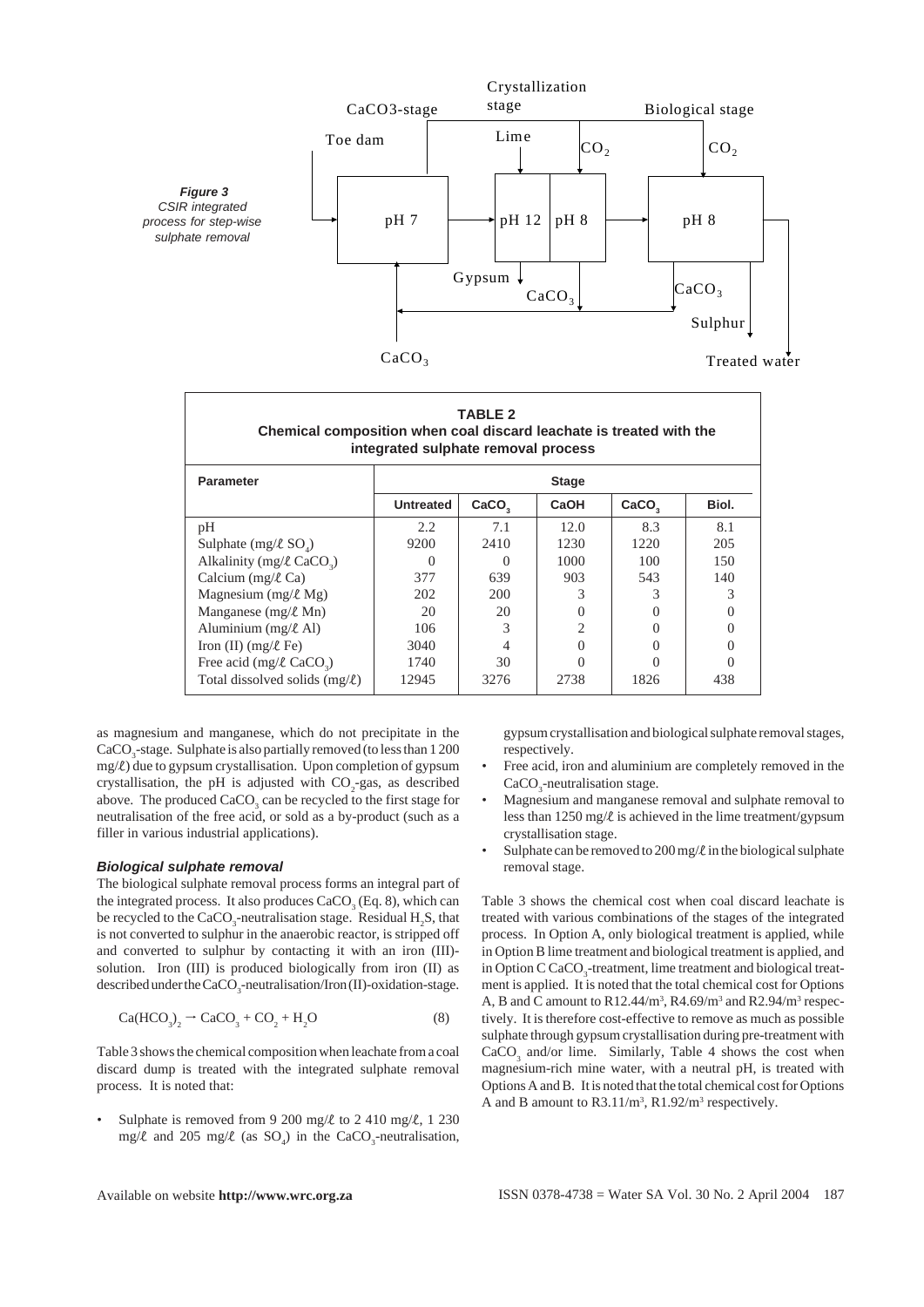

| <b>TABLE 2</b><br>Chemical composition when coal discard leachate is treated with the<br>integrated sulphate removal process |                  |                   |              |                   |       |  |  |
|------------------------------------------------------------------------------------------------------------------------------|------------------|-------------------|--------------|-------------------|-------|--|--|
| <b>Parameter</b>                                                                                                             | <b>Stage</b>     |                   |              |                   |       |  |  |
|                                                                                                                              | <b>Untreated</b> | CaCO <sub>2</sub> | CaOH         | CaCO <sub>2</sub> | Biol. |  |  |
| pH                                                                                                                           | 2.2              | 7.1               | 12.0         | 8.3               | 8.1   |  |  |
| Sulphate $(mg/\ell SO)$                                                                                                      | 9200             | 2410              | 1230         | 1220              | 205   |  |  |
| Alkalinity (mg/ $\ell$ CaCO <sub>2</sub> )                                                                                   |                  |                   | 1000         | 100               | 150   |  |  |
| Calcium (mg/ $\ell$ Ca)                                                                                                      | 377              | 639               | 903          | 543               | 140   |  |  |
| Magnesium (mg/ $\ell$ Mg)                                                                                                    | 202              | 200               | 3            | 3                 | 3     |  |  |
| Manganese (mg/ $\ell$ Mn)                                                                                                    | 20               | 20                | $\mathbf{0}$ |                   |       |  |  |
| Aluminium $(mg/\ell A)$                                                                                                      | 106              | 3                 | 2            |                   |       |  |  |
| Iron (II) $(mg/\ell \text{Fe})$                                                                                              | 3040             |                   |              |                   |       |  |  |
| Free acid (mg/ $\ell$ CaCO <sub>2</sub> )                                                                                    | 1740             | 30                |              |                   |       |  |  |
| Total dissolved solids $(mg/\ell)$                                                                                           | 12945            | 3276              | 2738         | 1826              | 438   |  |  |

as magnesium and manganese, which do not precipitate in the  $\rm CaCO_{_3}$ -stage. Sulphate is also partially removed (to less than 1 200  $mg/l$ ) due to gypsum crystallisation. Upon completion of gypsum crystallisation, the pH is adjusted with  $CO_2$ -gas, as described above. The produced  $CaCO<sub>3</sub>$  can be recycled to the first stage for neutralisation of the free acid, or sold as a by-product (such as a filler in various industrial applications).

### *Biological sulphate removal*

The biological sulphate removal process forms an integral part of the integrated process. It also produces  $CaCO<sub>3</sub>$  (Eq. 8), which can be recycled to the CaCO<sub>3</sub>-neutralisation stage. Residual  $H_2S$ , that is not converted to sulphur in the anaerobic reactor, is stripped off and converted to sulphur by contacting it with an iron (III) solution. Iron (III) is produced biologically from iron (II) as described under the CaCO<sub>3</sub>-neutralisation/Iron (II)-oxidation-stage.

$$
\text{Ca}(\text{HCO}_3)_2 \rightarrow \text{CaCO}_3 + \text{CO}_2 + \text{H}_2\text{O} \tag{8}
$$

Table 3 shows the chemical composition when leachate from a coal discard dump is treated with the integrated sulphate removal process. It is noted that:

Sulphate is removed from 9 200 mg/ $\ell$  to 2 410 mg/ $\ell$ , 1 230 mg/ $\ell$  and 205 mg/ $\ell$  (as SO<sub>4</sub>) in the CaCO<sub>3</sub>-neutralisation,

gypsum crystallisation and biological sulphate removal stages, respectively.

- Free acid, iron and aluminium are completely removed in the  $CaCO<sub>3</sub>$ -neutralisation stage.
- Magnesium and manganese removal and sulphate removal to less than  $1250 \text{ mg}/\ell$  is achieved in the lime treatment/gypsum crystallisation stage.
- Sulphate can be removed to 200 mg/ $\ell$  in the biological sulphate removal stage.

Table 3 shows the chemical cost when coal discard leachate is treated with various combinations of the stages of the integrated process. In Option A, only biological treatment is applied, while in Option B lime treatment and biological treatment is applied, and in Option C CaCO<sub>3</sub>-treatment, lime treatment and biological treatment is applied. It is noted that the total chemical cost for Options A, B and C amount to  $R12.44/m^3$ ,  $R4.69/m^3$  and  $R2.94/m^3$  respectively. It is therefore cost-effective to remove as much as possible sulphate through gypsum crystallisation during pre-treatment with  $CaCO<sub>3</sub>$  and/or lime. Similarly, Table 4 shows the cost when magnesium-rich mine water, with a neutral pH, is treated with Options A and B. It is noted that the total chemical cost for Options A and B amount to  $R3.11/m^3$ ,  $R1.92/m^3$  respectively.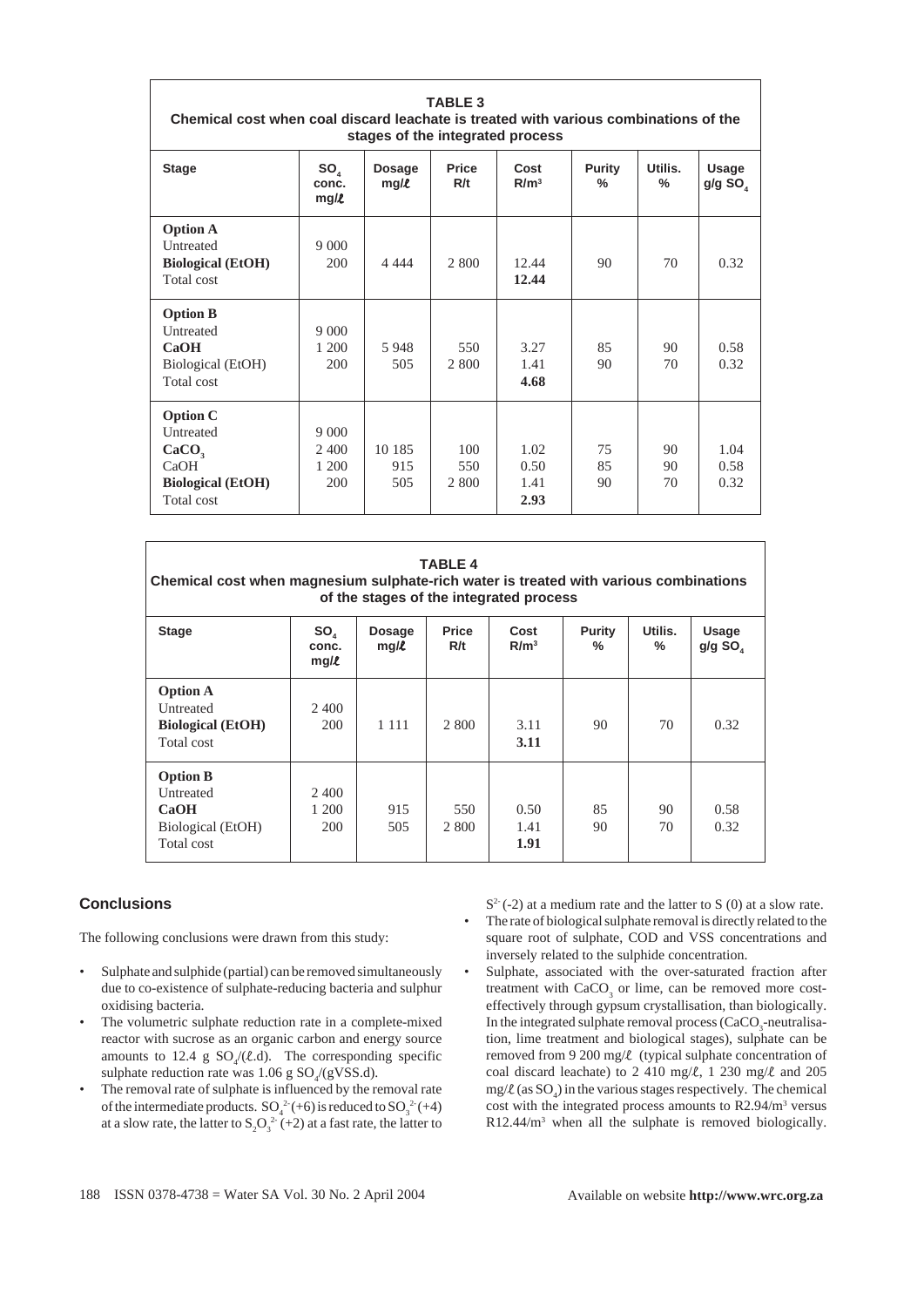| <b>TABLE 3</b><br>Chemical cost when coal discard leachate is treated with various combinations of the<br>stages of the integrated process |                           |                       |                     |                          |                |                 |                                |
|--------------------------------------------------------------------------------------------------------------------------------------------|---------------------------|-----------------------|---------------------|--------------------------|----------------|-----------------|--------------------------------|
| <b>Stage</b>                                                                                                                               | $SO_{4}$<br>conc.<br>mg/l | <b>Dosage</b><br>mg/l | <b>Price</b><br>R/t | Cost<br>R/m <sup>3</sup> | Purity<br>$\%$ | Utilis.<br>$\%$ | Usage<br>$g/g$ SO <sub>4</sub> |
| <b>Option A</b>                                                                                                                            |                           |                       |                     |                          |                |                 |                                |
| Untreated                                                                                                                                  | 9000                      |                       |                     |                          |                |                 |                                |
| <b>Biological</b> (EtOH)                                                                                                                   | 200                       | 4 4 4 4               | 2 800               | 12.44                    | 90             | 70              | 0.32                           |
| Total cost                                                                                                                                 |                           |                       |                     | 12.44                    |                |                 |                                |
| <b>Option B</b>                                                                                                                            |                           |                       |                     |                          |                |                 |                                |
| Untreated                                                                                                                                  | 9000                      |                       |                     |                          |                |                 |                                |
| CaOH                                                                                                                                       | 1 200                     | 5948                  | 550                 | 3.27                     | 85             | 90              | 0.58                           |
| Biological (EtOH)                                                                                                                          | 200                       | 505                   | 2 800               | 1.41                     | 90             | 70              | 0.32                           |
| Total cost                                                                                                                                 |                           |                       |                     | 4.68                     |                |                 |                                |
| <b>Option C</b>                                                                                                                            |                           |                       |                     |                          |                |                 |                                |
| Untreated                                                                                                                                  | 9 0 0 0                   |                       |                     |                          |                |                 |                                |
| CaCO <sub>3</sub>                                                                                                                          | 2 400                     | 10 185                | 100                 | 1.02                     | 75             | 90              | 1.04                           |
| CaOH                                                                                                                                       | 1 200                     | 915                   | 550                 | 0.50                     | 85             | 90              | 0.58                           |
| <b>Biological (EtOH)</b>                                                                                                                   | 200                       | 505                   | 2 800               | 1.41                     | 90             | 70              | 0.32                           |
| Total cost                                                                                                                                 |                           |                       |                     | 2.93                     |                |                 |                                |

| <b>TABLE 4</b><br>Chemical cost when magnesium sulphate-rich water is treated with various combinations<br>of the stages of the integrated process |                       |                       |                     |                          |             |              |                   |
|----------------------------------------------------------------------------------------------------------------------------------------------------|-----------------------|-----------------------|---------------------|--------------------------|-------------|--------------|-------------------|
| <b>Stage</b>                                                                                                                                       | SO,<br>conc.<br>mg/l  | <b>Dosage</b><br>mg/l | <b>Price</b><br>R/t | Cost<br>R/m <sup>3</sup> | Purity<br>% | Utilis.<br>% | Usage<br>$g/g$ SO |
| <b>Option A</b><br>Untreated<br><b>Biological</b> (EtOH)<br>Total cost                                                                             | 2.400<br>200          | 1 1 1 1               | 2 800               | 3.11<br>3.11             | 90          | 70           | 0.32              |
| <b>Option B</b><br>Untreated<br><b>CaOH</b><br>Biological (EtOH)<br>Total cost                                                                     | 2.400<br>1 200<br>200 | 915<br>505            | 550<br>2 800        | 0.50<br>1.41<br>1.91     | 85<br>90    | 90<br>70     | 0.58<br>0.32      |

### **Conclusions**

The following conclusions were drawn from this study:

- Sulphate and sulphide (partial) can be removed simultaneously due to co-existence of sulphate-reducing bacteria and sulphur oxidising bacteria.
- The volumetric sulphate reduction rate in a complete-mixed reactor with sucrose as an organic carbon and energy source amounts to 12.4 g  $SO_4/(l.d)$ . The corresponding specific sulphate reduction rate was  $1.06 \text{ g } SO_4\text{/}(gVSS.d)$ .
- The removal rate of sulphate is influenced by the removal rate of the intermediate products.  $SO_4^2(+6)$  is reduced to  $SO_3^2(+4)$ at a slow rate, the latter to  $S_2O_3^2$ <sup>2</sup> (+2) at a fast rate, the latter to

 $S<sup>2</sup>(-2)$  at a medium rate and the latter to S (0) at a slow rate. • The rate of biological sulphate removal is directly related to the square root of sulphate, COD and VSS concentrations and inversely related to the sulphide concentration.

Sulphate, associated with the over-saturated fraction after treatment with  $CaCO<sub>3</sub>$  or lime, can be removed more costeffectively through gypsum crystallisation, than biologically. In the integrated sulphate removal process  $(CaCO<sub>3</sub>$ -neutralisation, lime treatment and biological stages), sulphate can be removed from 9 200 mg/ $\ell$  (typical sulphate concentration of coal discard leachate) to 2 410 mg/ $\ell$ , 1 230 mg/ $\ell$  and 205  $mg/R$  (as  $SO_4$ ) in the various stages respectively. The chemical cost with the integrated process amounts to R2.94/m<sup>3</sup> versus R12.44/m3 when all the sulphate is removed biologically.